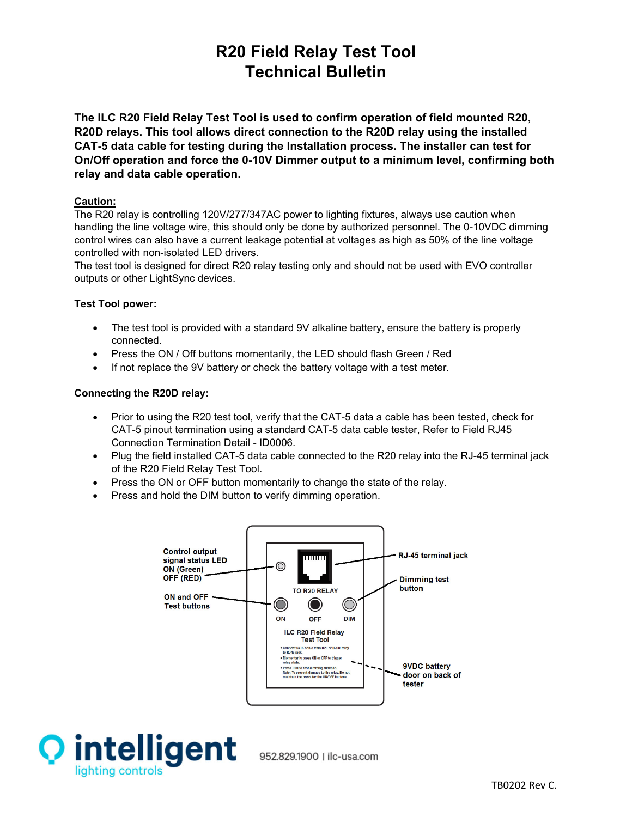# **R20 Field Relay Test Tool Technical Bulletin**

**The ILC R20 Field Relay Test Tool is used to confirm operation of field mounted R20, R20D relays. This tool allows direct connection to the R20D relay using the installed CAT-5 data cable for testing during the Installation process. The installer can test for On/Off operation and force the 0-10V Dimmer output to a minimum level, confirming both relay and data cable operation.** 

# **Caution:**

The R20 relay is controlling 120V/277/347AC power to lighting fixtures, always use caution when handling the line voltage wire, this should only be done by authorized personnel. The 0-10VDC dimming control wires can also have a current leakage potential at voltages as high as 50% of the line voltage controlled with non-isolated LED drivers.

The test tool is designed for direct R20 relay testing only and should not be used with EVO controller outputs or other LightSync devices.

# **Test Tool power:**

- The test tool is provided with a standard 9V alkaline battery, ensure the battery is properly connected.
- Press the ON / Off buttons momentarily, the LED should flash Green / Red
- If not replace the 9V battery or check the battery voltage with a test meter.

# **Connecting the R20D relay:**

- Prior to using the R20 test tool, verify that the CAT-5 data a cable has been tested, check for CAT-5 pinout termination using a standard CAT-5 data cable tester, Refer to Field RJ45 Connection Termination Detail - ID0006.
- Plug the field installed CAT-5 data cable connected to the R20 relay into the RJ-45 terminal jack of the R20 Field Relay Test Tool.
- Press the ON or OFF button momentarily to change the state of the relay.
- Press and hold the DIM button to verify dimming operation.





952.829.1900 | ilc-usa.com